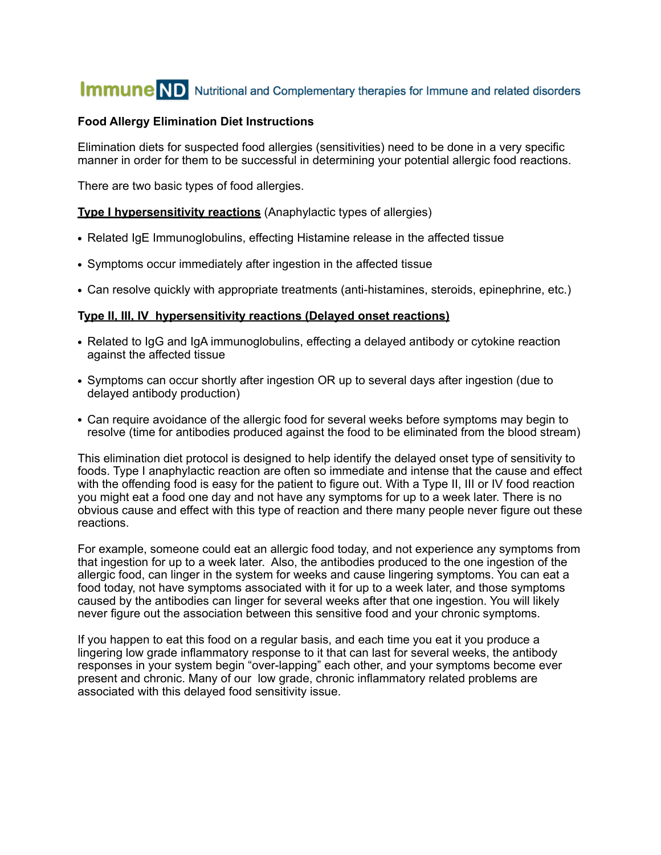# **Immune ND** Nutritional and Complementary therapies for Immune and related disorders

## **Food Allergy Elimination Diet Instructions**

Elimination diets for suspected food allergies (sensitivities) need to be done in a very specific manner in order for them to be successful in determining your potential allergic food reactions.

There are two basic types of food allergies.

**Type I hypersensitivity reactions** (Anaphylactic types of allergies)

- **•** Related IgE Immunoglobulins, effecting Histamine release in the affected tissue
- **•** Symptoms occur immediately after ingestion in the affected tissue
- **•** Can resolve quickly with appropriate treatments (anti-histamines, steroids, epinephrine, etc.)

## **Type II, III, IV hypersensitivity reactions (Delayed onset reactions)**

- **•** Related to IgG and IgA immunoglobulins, effecting a delayed antibody or cytokine reaction against the affected tissue
- **•** Symptoms can occur shortly after ingestion OR up to several days after ingestion (due to delayed antibody production)
- **•** Can require avoidance of the allergic food for several weeks before symptoms may begin to resolve (time for antibodies produced against the food to be eliminated from the blood stream)

This elimination diet protocol is designed to help identify the delayed onset type of sensitivity to foods. Type I anaphylactic reaction are often so immediate and intense that the cause and effect with the offending food is easy for the patient to figure out. With a Type II, III or IV food reaction you might eat a food one day and not have any symptoms for up to a week later. There is no obvious cause and effect with this type of reaction and there many people never figure out these reactions.

For example, someone could eat an allergic food today, and not experience any symptoms from that ingestion for up to a week later. Also, the antibodies produced to the one ingestion of the allergic food, can linger in the system for weeks and cause lingering symptoms. You can eat a food today, not have symptoms associated with it for up to a week later, and those symptoms caused by the antibodies can linger for several weeks after that one ingestion. You will likely never figure out the association between this sensitive food and your chronic symptoms.

If you happen to eat this food on a regular basis, and each time you eat it you produce a lingering low grade inflammatory response to it that can last for several weeks, the antibody responses in your system begin "over-lapping" each other, and your symptoms become ever present and chronic. Many of our low grade, chronic inflammatory related problems are associated with this delayed food sensitivity issue.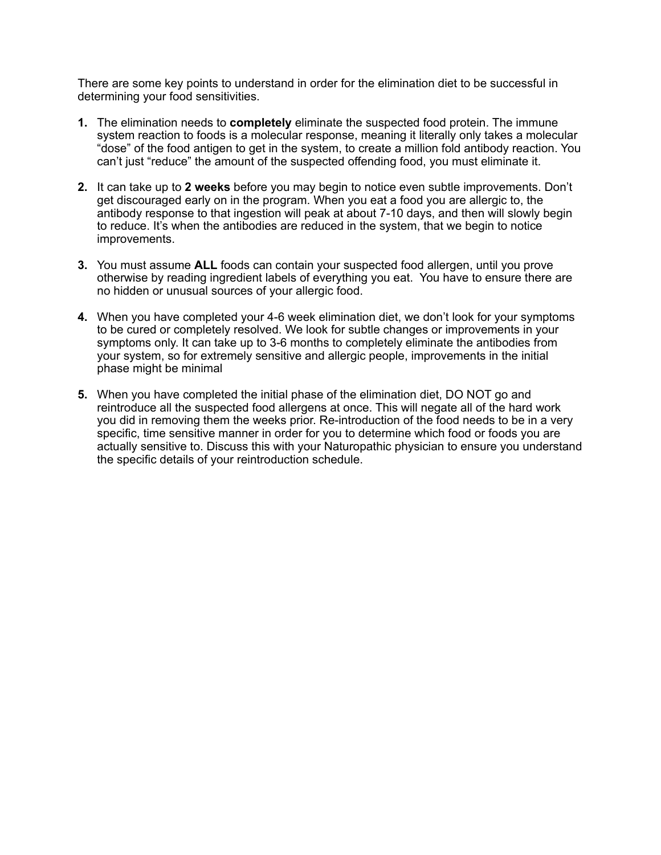There are some key points to understand in order for the elimination diet to be successful in determining your food sensitivities.

- **1.** The elimination needs to **completely** eliminate the suspected food protein. The immune system reaction to foods is a molecular response, meaning it literally only takes a molecular "dose" of the food antigen to get in the system, to create a million fold antibody reaction. You can't just "reduce" the amount of the suspected offending food, you must eliminate it.
- **2.** It can take up to **2 weeks** before you may begin to notice even subtle improvements. Don't get discouraged early on in the program. When you eat a food you are allergic to, the antibody response to that ingestion will peak at about 7-10 days, and then will slowly begin to reduce. It's when the antibodies are reduced in the system, that we begin to notice improvements.
- **3.** You must assume **ALL** foods can contain your suspected food allergen, until you prove otherwise by reading ingredient labels of everything you eat. You have to ensure there are no hidden or unusual sources of your allergic food.
- **4.** When you have completed your 4-6 week elimination diet, we don't look for your symptoms to be cured or completely resolved. We look for subtle changes or improvements in your symptoms only. It can take up to 3-6 months to completely eliminate the antibodies from your system, so for extremely sensitive and allergic people, improvements in the initial phase might be minimal
- **5.** When you have completed the initial phase of the elimination diet, DO NOT go and reintroduce all the suspected food allergens at once. This will negate all of the hard work you did in removing them the weeks prior. Re-introduction of the food needs to be in a very specific, time sensitive manner in order for you to determine which food or foods you are actually sensitive to. Discuss this with your Naturopathic physician to ensure you understand the specific details of your reintroduction schedule.